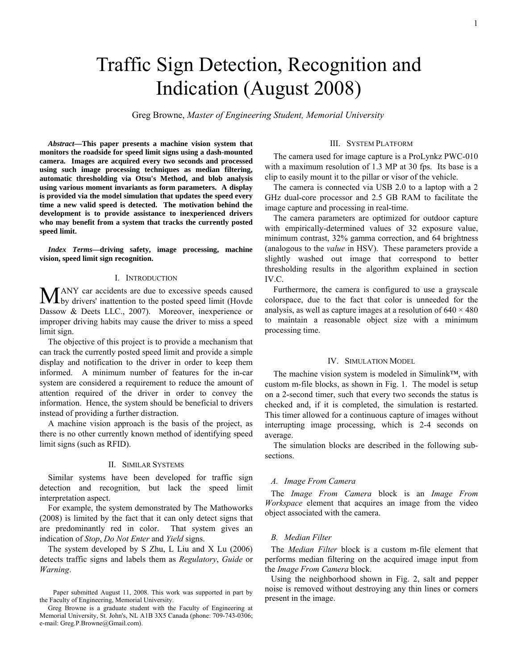# Traffic Sign Detection, Recognition and Indication (August 2008)

Greg Browne, *Master of Engineering Student, Memorial University*

*Abstract***—This paper presents a machine vision system that monitors the roadside for speed limit signs using a dash-mounted camera. Images are acquired every two seconds and processed using such image processing techniques as median filtering, automatic thresholding via Otsu's Method, and blob analysis using various moment invariants as form parameters. A display is provided via the model simulation that updates the speed every time a new valid speed is detected. The motivation behind the development is to provide assistance to inexperienced drivers who may benefit from a system that tracks the currently posted speed limit.** 

*Index Terms***—driving safety, image processing, machine vision, speed limit sign recognition.** 

#### I. INTRODUCTION

ANY car accidents are due to excessive speeds caused MANY car accidents are due to excessive speeds caused<br>by drivers' inattention to the posted speed limit (Hovde Dassow & Deets LLC., 2007). Moreover, inexperience or improper driving habits may cause the driver to miss a speed limit sign.

 The objective of this project is to provide a mechanism that can track the currently posted speed limit and provide a simple display and notification to the driver in order to keep them informed. A minimum number of features for the in-car system are considered a requirement to reduce the amount of attention required of the driver in order to convey the information. Hence, the system should be beneficial to drivers instead of providing a further distraction.

 A machine vision approach is the basis of the project, as there is no other currently known method of identifying speed limit signs (such as RFID).

#### II. SIMILAR SYSTEMS

Similar systems have been developed for traffic sign detection and recognition, but lack the speed limit interpretation aspect.

For example, the system demonstrated by The Mathoworks (2008) is limited by the fact that it can only detect signs that are predominantly red in color. That system gives an indication of *Stop*, *Do Not Enter* and *Yield* signs.

The system developed by S Zhu, L Liu and X Lu (2006) detects traffic signs and labels them as *Regulatory*, *Guide* or *Warning*.

## III. SYSTEM PLATFORM

The camera used for image capture is a ProLynkz PWC-010 with a maximum resolution of 1.3 MP at 30 fps. Its base is a clip to easily mount it to the pillar or visor of the vehicle.

The camera is connected via USB 2.0 to a laptop with a 2 GHz dual-core processor and 2.5 GB RAM to facilitate the image capture and processing in real-time.

The camera parameters are optimized for outdoor capture with empirically-determined values of 32 exposure value, minimum contrast, 32% gamma correction, and 64 brightness (analogous to the *value* in HSV). These parameters provide a slightly washed out image that correspond to better thresholding results in the algorithm explained in section IV.C.

Furthermore, the camera is configured to use a grayscale colorspace, due to the fact that color is unneeded for the analysis, as well as capture images at a resolution of  $640 \times 480$ to maintain a reasonable object size with a minimum processing time.

# IV. SIMULATION MODEL

The machine vision system is modeled in Simulink™, with custom m-file blocks, as shown in Fig. 1. The model is setup on a 2-second timer, such that every two seconds the status is checked and, if it is completed, the simulation is restarted. This timer allowed for a continuous capture of images without interrupting image processing, which is 2-4 seconds on average.

The simulation blocks are described in the following subsections.

#### *A. Image From Camera*

The *Image From Camera* block is an *Image From Workspace* element that acquires an image from the video object associated with the camera.

#### *B. Median Filter*

The *Median Filter* block is a custom m-file element that performs median filtering on the acquired image input from the *Image From Camera* block.

Using the neighborhood shown in Fig. 2, salt and pepper noise is removed without destroying any thin lines or corners present in the image.

Paper submitted August 11, 2008. This work was supported in part by the Faculty of Engineering, Memorial University.

Greg Browne is a graduate student with the Faculty of Engineering at Memorial University, St. John's, NL A1B 3X5 Canada (phone: 709-743-0306; e-mail: Greg.P.Browne@Gmail.com).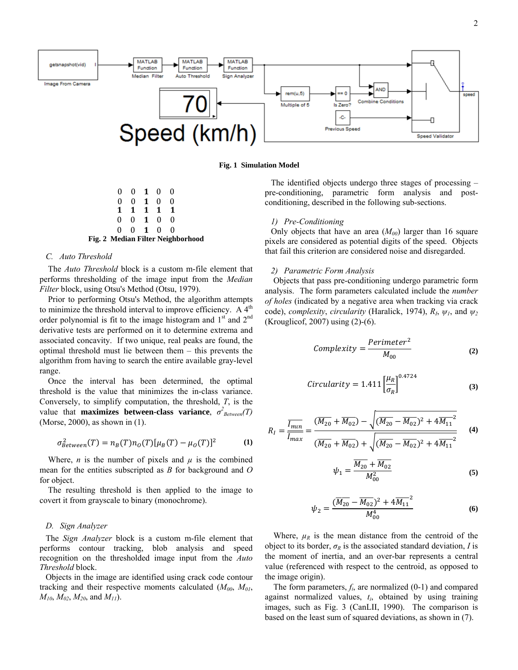

**Fig. 1 Simulation Model**

|    |                             |                | Fig. 2 Median Filter Neighborhood |
|----|-----------------------------|----------------|-----------------------------------|
|    | 0 0 1 0 0                   |                |                                   |
|    | $0 \quad 0 \quad 1 \quad 0$ | $\mathbf{0}$   |                                   |
|    | $1 \t1 \t1 \t1$             | $\blacksquare$ |                                   |
| 0. | $0 \quad 1 \quad 0$         | $\Omega$       |                                   |
|    | $0 \t0 \t1 \t0$             | - 0            |                                   |

#### *C. Auto Threshold*

The *Auto Threshold* block is a custom m-file element that performs thresholding of the image input from the *Median Filter* block, using Otsu's Method (Otsu, 1979).

Prior to performing Otsu's Method, the algorithm attempts to minimize the threshold interval to improve efficiency. A  $4<sup>th</sup>$ order polynomial is fit to the image histogram and  $1<sup>st</sup>$  and  $2<sup>nd</sup>$ derivative tests are performed on it to determine extrema and associated concavity. If two unique, real peaks are found, the optimal threshold must lie between them – this prevents the algorithm from having to search the entire available gray-level range.

Once the interval has been determined, the optimal threshold is the value that minimizes the in-class variance. Conversely, to simplify computation, the threshold, *T*, is the value that **maximizes between-class variance**,  $\sigma^2_{Between}(T)$ (Morse, 2000), as shown in (1).

$$
\sigma_{Between}^2(T) = n_B(T)n_O(T)[\mu_B(T) - \mu_O(T)]^2
$$
 (1)

Where, *n* is the number of pixels and  $\mu$  is the combined mean for the entities subscripted as *B* for background and *O* for object.

The resulting threshold is then applied to the image to covert it from grayscale to binary (monochrome).

#### *D. Sign Analyzer*

The *Sign Analyzer* block is a custom m-file element that performs contour tracking, blob analysis and speed recognition on the thresholded image input from the *Auto Threshold* block.

Objects in the image are identified using crack code contour tracking and their respective moments calculated  $(M_{00}, M_{01},$  $M_{10}$ ,  $M_{02}$ ,  $M_{20}$ , and  $M_{11}$ ).

The identified objects undergo three stages of processing – pre-conditioning, parametric form analysis and postconditioning, described in the following sub-sections.

#### *1) Pre-Conditioning*

Only objects that have an area  $(M_{00})$  larger than 16 square pixels are considered as potential digits of the speed. Objects that fail this criterion are considered noise and disregarded.

### *2) Parametric Form Analysis*

Objects that pass pre-conditioning undergo parametric form analysis. The form parameters calculated include the *number of holes* (indicated by a negative area when tracking via crack code), *complexity*, *circularity* (Haralick, 1974),  $R_I$ ,  $\psi_I$ , and  $\psi_2$ (Krouglicof, 2007) using (2)-(6).

$$
Complexity = \frac{Perimeter^2}{M_{00}} \tag{2}
$$

$$
Circularity = 1.411 \left[ \frac{\mu_R}{\sigma_R} \right]^{0.4724}
$$
 (3)

$$
R_{I} = \frac{\overline{I_{min}}}{\overline{I_{max}}} = \frac{(\overline{M_{20}} + \overline{M_{02}}) - \sqrt{(\overline{M_{20}} - \overline{M_{02}})^{2} + 4\overline{M_{11}}^{2}}}{(\overline{M_{20}} + \overline{M_{02}}) + \sqrt{(\overline{M_{20}} - \overline{M_{02}})^{2} + 4\overline{M_{11}}^{2}}}
$$
(4)

$$
\psi_1 = \frac{\overline{M_{20}} + \overline{M_{02}}}{M_{00}^2} \tag{5}
$$

$$
\psi_2 = \frac{(\overline{M_{20}} - \overline{M_{02}})^2 + 4\overline{M_{11}}^2}{M_{00}^4}
$$
\n(6)

Where,  $\mu_R$  is the mean distance from the centroid of the object to its border,  $\sigma_R$  is the associated standard deviation, *I* is the moment of inertia, and an over-bar represents a central value (referenced with respect to the centroid, as opposed to the image origin).

The form parameters, *fi*, are normalized (0-1) and compared against normalized values, *ti*, obtained by using training images, such as Fig. 3 (CanLII, 1990). The comparison is based on the least sum of squared deviations, as shown in (7).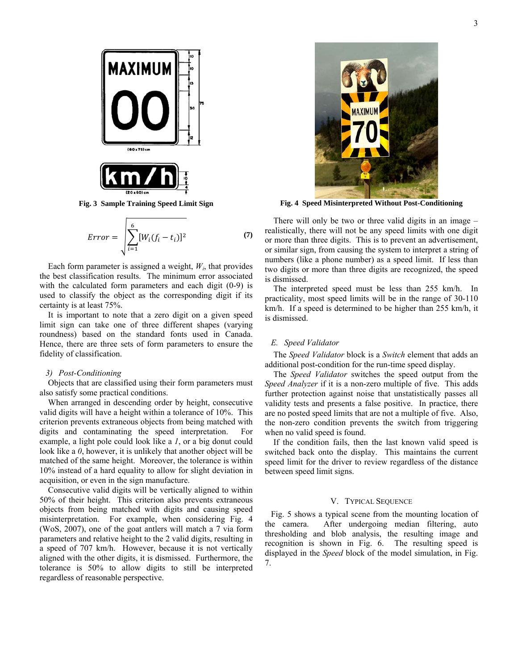

**Fig. 3 Sample Training Speed Limit Sign** 

$$
Error = \sqrt{\sum_{i=1}^{6} [W_i(f_i - t_i)]^2}
$$
 (7)

Each form parameter is assigned a weight,  $W_i$ , that provides the best classification results. The minimum error associated with the calculated form parameters and each digit (0-9) is used to classify the object as the corresponding digit if its certainty is at least 75%.

It is important to note that a zero digit on a given speed limit sign can take one of three different shapes (varying roundness) based on the standard fonts used in Canada. Hence, there are three sets of form parameters to ensure the fidelity of classification.

#### *3) Post-Conditioning*

Objects that are classified using their form parameters must also satisfy some practical conditions.

When arranged in descending order by height, consecutive valid digits will have a height within a tolerance of 10%. This criterion prevents extraneous objects from being matched with digits and contaminating the speed interpretation. For example, a light pole could look like a *1*, or a big donut could look like a *0*, however, it is unlikely that another object will be matched of the same height. Moreover, the tolerance is within 10% instead of a hard equality to allow for slight deviation in acquisition, or even in the sign manufacture.

Consecutive valid digits will be vertically aligned to within 50% of their height. This criterion also prevents extraneous objects from being matched with digits and causing speed misinterpretation. For example, when considering Fig. 4 (WoS, 2007), one of the goat antlers will match a 7 via form parameters and relative height to the 2 valid digits, resulting in a speed of 707 km/h. However, because it is not vertically aligned with the other digits, it is dismissed. Furthermore, the tolerance is 50% to allow digits to still be interpreted regardless of reasonable perspective.



**Fig. 4 Speed Misinterpreted Without Post-Conditioning** 

There will only be two or three valid digits in an image – realistically, there will not be any speed limits with one digit or more than three digits. This is to prevent an advertisement, or similar sign, from causing the system to interpret a string of numbers (like a phone number) as a speed limit. If less than two digits or more than three digits are recognized, the speed is dismissed.

The interpreted speed must be less than 255 km/h. In practicality, most speed limits will be in the range of 30-110 km/h. If a speed is determined to be higher than 255 km/h, it is dismissed.

# *E. Speed Validator*

The *Speed Validator* block is a *Switch* element that adds an additional post-condition for the run-time speed display.

The *Speed Validator* switches the speed output from the *Speed Analyzer* if it is a non-zero multiple of five. This adds further protection against noise that unstatistically passes all validity tests and presents a false positive. In practice, there are no posted speed limits that are not a multiple of five. Also, the non-zero condition prevents the switch from triggering when no valid speed is found.

If the condition fails, then the last known valid speed is switched back onto the display. This maintains the current speed limit for the driver to review regardless of the distance between speed limit signs.

#### V. TYPICAL SEQUENCE

Fig. 5 shows a typical scene from the mounting location of the camera. After undergoing median filtering, auto thresholding and blob analysis, the resulting image and recognition is shown in Fig. 6. The resulting speed is displayed in the *Speed* block of the model simulation, in Fig. 7.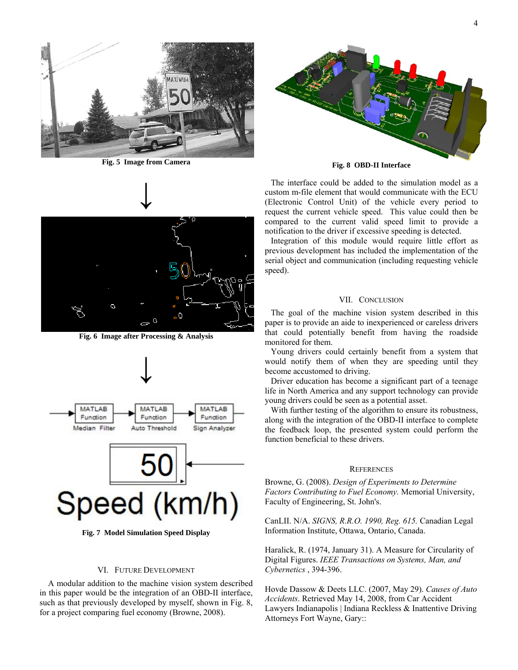

**Fig. 5 Image from Camera** 



**Fig. 6 Image after Processing & Analysis** 



**Fig. 7 Model Simulation Speed Display** 

#### VI. FUTURE DEVELOPMENT

A modular addition to the machine vision system described in this paper would be the integration of an OBD-II interface, such as that previously developed by myself, shown in Fig. 8, for a project comparing fuel economy (Browne, 2008).



**Fig. 8 OBD-II Interface** 

The interface could be added to the simulation model as a custom m-file element that would communicate with the ECU (Electronic Control Unit) of the vehicle every period to request the current vehicle speed. This value could then be compared to the current valid speed limit to provide a notification to the driver if excessive speeding is detected.

Integration of this module would require little effort as previous development has included the implementation of the serial object and communication (including requesting vehicle speed).

#### VII. CONCLUSION

The goal of the machine vision system described in this paper is to provide an aide to inexperienced or careless drivers that could potentially benefit from having the roadside monitored for them.

Young drivers could certainly benefit from a system that would notify them of when they are speeding until they become accustomed to driving.

Driver education has become a significant part of a teenage life in North America and any support technology can provide young drivers could be seen as a potential asset.

With further testing of the algorithm to ensure its robustness, along with the integration of the OBD-II interface to complete the feedback loop, the presented system could perform the function beneficial to these drivers.

#### **REFERENCES**

Browne, G. (2008). *Design of Experiments to Determine Factors Contributing to Fuel Economy.* Memorial University, Faculty of Engineering, St. John's.

CanLII. N/A. *SIGNS, R.R.O. 1990, Reg. 615.* Canadian Legal Information Institute, Ottawa, Ontario, Canada.

Haralick, R. (1974, January 31). A Measure for Circularity of Digital Figures. *IEEE Transactions on Systems, Man, and Cybernetics* , 394-396.

Hovde Dassow & Deets LLC. (2007, May 29). *Causes of Auto Accidents*. Retrieved May 14, 2008, from Car Accident Lawyers Indianapolis | Indiana Reckless & Inattentive Driving Attorneys Fort Wayne, Gary::